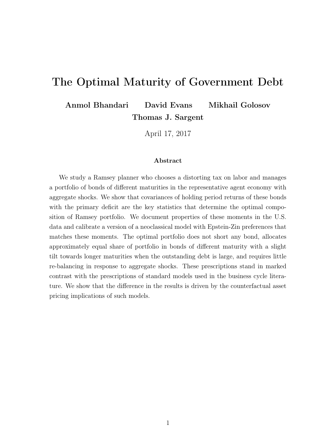# The Optimal Maturity of Government Debt

Anmol Bhandari David Evans Mikhail Golosov Thomas J. Sargent

April 17, 2017

#### Abstract

We study a Ramsey planner who chooses a distorting tax on labor and manages a portfolio of bonds of different maturities in the representative agent economy with aggregate shocks. We show that covariances of holding period returns of these bonds with the primary deficit are the key statistics that determine the optimal composition of Ramsey portfolio. We document properties of these moments in the U.S. data and calibrate a version of a neoclassical model with Epstein-Zin preferences that matches these moments. The optimal portfolio does not short any bond, allocates approximately equal share of portfolio in bonds of different maturity with a slight tilt towards longer maturities when the outstanding debt is large, and requires little re-balancing in response to aggregate shocks. These prescriptions stand in marked contrast with the prescriptions of standard models used in the business cycle literature. We show that the difference in the results is driven by the counterfactual asset pricing implications of such models.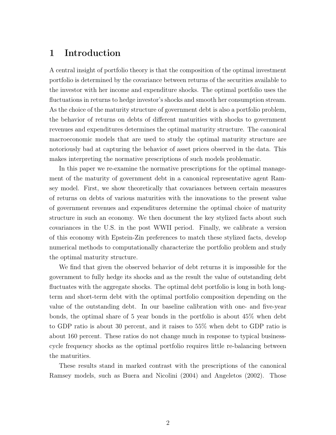# 1 Introduction

A central insight of portfolio theory is that the composition of the optimal investment portfolio is determined by the covariance between returns of the securities available to the investor with her income and expenditure shocks. The optimal portfolio uses the fluctuations in returns to hedge investor's shocks and smooth her consumption stream. As the choice of the maturity structure of government debt is also a portfolio problem, the behavior of returns on debts of different maturities with shocks to government revenues and expenditures determines the optimal maturity structure. The canonical macroeconomic models that are used to study the optimal maturity structure are notoriously bad at capturing the behavior of asset prices observed in the data. This makes interpreting the normative prescriptions of such models problematic.

In this paper we re-examine the normative prescriptions for the optimal management of the maturity of government debt in a canonical representative agent Ramsey model. First, we show theoretically that covariances between certain measures of returns on debts of various maturities with the innovations to the present value of government revenues and expenditures determine the optimal choice of maturity structure in such an economy. We then document the key stylized facts about such covariances in the U.S. in the post WWII period. Finally, we calibrate a version of this economy with Epstein-Zin preferences to match these stylized facts, develop numerical methods to computationally characterize the portfolio problem and study the optimal maturity structure.

We find that given the observed behavior of debt returns it is impossible for the government to fully hedge its shocks and as the result the value of outstanding debt fluctuates with the aggregate shocks. The optimal debt portfolio is long in both longterm and short-term debt with the optimal portfolio composition depending on the value of the outstanding debt. In our baseline calibration with one- and five-year bonds, the optimal share of 5 year bonds in the portfolio is about 45% when debt to GDP ratio is about 30 percent, and it raises to 55% when debt to GDP ratio is about 160 percent. These ratios do not change much in response to typical businesscycle frequency shocks as the optimal portfolio requires little re-balancing between the maturities.

These results stand in marked contrast with the prescriptions of the canonical Ramsey models, such as Buera and Nicolini (2004) and Angeletos (2002). Those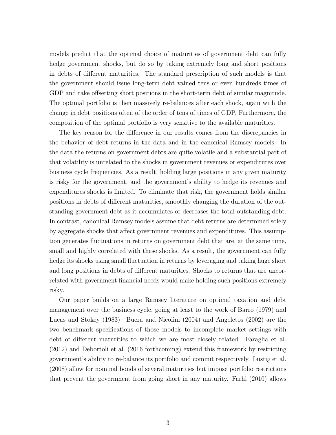models predict that the optimal choice of maturities of government debt can fully hedge government shocks, but do so by taking extremely long and short positions in debts of different maturities. The standard prescription of such models is that the government should issue long-term debt valued tens or even hundreds times of GDP and take offsetting short positions in the short-term debt of similar magnitude. The optimal portfolio is then massively re-balances after each shock, again with the change in debt positions often of the order of tens of times of GDP. Furthermore, the composition of the optimal portfolio is very sensitive to the available maturities.

The key reason for the difference in our results comes from the discrepancies in the behavior of debt returns in the data and in the canonical Ramsey models. In the data the returns on government debts are quite volatile and a substantial part of that volatility is unrelated to the shocks in government revenues or expenditures over business cycle frequencies. As a result, holding large positions in any given maturity is risky for the government, and the government's ability to hedge its revenues and expenditures shocks is limited. To eliminate that risk, the government holds similar positions in debts of different maturities, smoothly changing the duration of the outstanding government debt as it accumulates or decreases the total outstanding debt. In contrast, canonical Ramsey models assume that debt returns are determined solely by aggregate shocks that affect government revenues and expenditures. This assumption generates fluctuations in returns on government debt that are, at the same time, small and highly correlated with these shocks. As a result, the government can fully hedge its shocks using small fluctuation in returns by leveraging and taking huge short and long positions in debts of different maturities. Shocks to returns that are uncorrelated with government financial needs would make holding such positions extremely risky.

Our paper builds on a large Ramsey literature on optimal taxation and debt management over the business cycle, going at least to the work of Barro (1979) and Lucas and Stokey (1983). Buera and Nicolini (2004) and Angeletos (2002) are the two benchmark specifications of those models to incomplete market settings with debt of different maturities to which we are most closely related. Faraglia et al. (2012) and Debortoli et al. (2016 forthcoming) extend this framework by restricting government's ability to re-balance its portfolio and commit respectively. Lustig et al. (2008) allow for nominal bonds of several maturities but impose portfolio restrictions that prevent the government from going short in any maturity. Farhi (2010) allows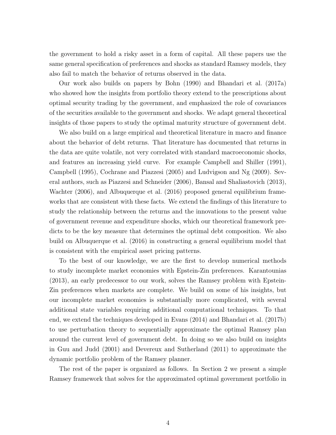the government to hold a risky asset in a form of capital. All these papers use the same general specification of preferences and shocks as standard Ramsey models, they also fail to match the behavior of returns observed in the data.

Our work also builds on papers by Bohn (1990) and Bhandari et al. (2017a) who showed how the insights from portfolio theory extend to the prescriptions about optimal security trading by the government, and emphasized the role of covariances of the securities available to the government and shocks. We adapt general theoretical insights of those papers to study the optimal maturity structure of government debt.

We also build on a large empirical and theoretical literature in macro and finance about the behavior of debt returns. That literature has documented that returns in the data are quite volatile, not very correlated with standard macroeconomic shocks, and features an increasing yield curve. For example Campbell and Shiller (1991), Campbell (1995), Cochrane and Piazzesi (2005) and Ludvigson and Ng (2009). Several authors, such as Piazzesi and Schneider (2006), Bansal and Shaliastovich (2013), Wachter (2006), and Albuquerque et al. (2016) proposed general equilibrium frameworks that are consistent with these facts. We extend the findings of this literature to study the relationship between the returns and the innovations to the present value of government revenue and expenditure shocks, which our theoretical framework predicts to be the key measure that determines the optimal debt composition. We also build on Albuquerque et al. (2016) in constructing a general equilibrium model that is consistent with the empirical asset pricing patterns.

To the best of our knowledge, we are the first to develop numerical methods to study incomplete market economies with Epstein-Zin preferences. Karantounias (2013), an early predecessor to our work, solves the Ramsey problem with Epstein-Zin preferences when markets are complete. We build on some of his insights, but our incomplete market economies is substantially more complicated, with several additional state variables requiring additional computational techniques. To that end, we extend the techniques developed in Evans (2014) and Bhandari et al. (2017b) to use perturbation theory to sequentially approximate the optimal Ramsey plan around the current level of government debt. In doing so we also build on insights in Guu and Judd (2001) and Devereux and Sutherland (2011) to approximate the dynamic portfolio problem of the Ramsey planner.

The rest of the paper is organized as follows. In Section 2 we present a simple Ramsey framework that solves for the approximated optimal government portfolio in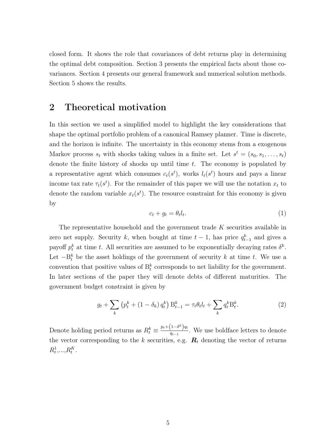closed form. It shows the role that covariances of debt returns play in determining the optimal debt composition. Section 3 presents the empirical facts about those covariances. Section 4 presents our general framework and numerical solution methods. Section 5 shows the results.

### 2 Theoretical motivation

In this section we used a simplified model to highlight the key considerations that shape the optimal portfolio problem of a canonical Ramsey planner. Time is discrete, and the horizon is infinite. The uncertainty in this economy stems from a exogenous Markov process  $s_t$  with shocks taking values in a finite set. Let  $s^t = (s_0, s_1, \ldots, s_t)$ denote the finite history of shocks up until time  $t$ . The economy is populated by a representative agent which consumes  $c_t(s^t)$ , works  $l_t(s^t)$  hours and pays a linear income tax rate  $\tau_t(s^t)$ . For the remainder of this paper we will use the notation  $x_t$  to denote the random variable  $x_t(s^t)$ . The resource constraint for this economy is given by

$$
c_t + g_t = \theta_t l_t. \tag{1}
$$

The representative household and the government trade K securities available in zero net supply. Security k, when bought at time  $t-1$ , has price  $q_{t-1}^k$  and gives a payoff  $p_t^k$  at time t. All securities are assumed to be exponentially decaying rates  $\delta^k$ . Let  $-B_t^k$  be the asset holdings of the government of security k at time t. We use a convention that positive values of  $B_t^k$  corresponds to net liability for the government. In later sections of the paper they will denote debts of different maturities. The government budget constraint is given by

$$
g_t + \sum_k \left( p_t^k + (1 - \delta_k) q_t^k \right) \mathbf{B}_{t-1}^k = \tau_t \theta_t l_t + \sum_k q_t^k \mathbf{B}_t^k. \tag{2}
$$

Denote holding period returns as  $R_t^k \equiv \frac{p_t + (1 - \delta^k)q_t}{q_{t-1}}$  $\frac{1-\sigma}{q_{t-1}}$ . We use boldface letters to denote the vector corresponding to the k securities, e.g.  $\mathbf{R}_t$  denoting the vector of returns  $R_t^1, \ldots, R_t^K$ .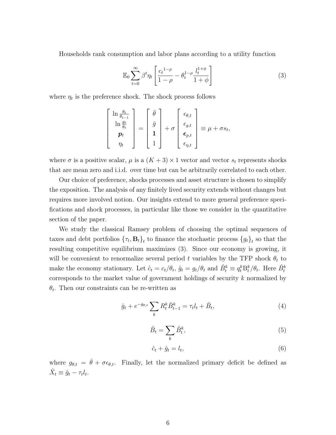Households rank consumption and labor plans according to a utility function

$$
\mathbb{E}_0 \sum_{t=0}^{\infty} \beta^t \eta_t \left[ \frac{c_t^{1-\rho}}{1-\rho} - \theta_t^{1-\rho} \frac{l_t^{1+\phi}}{1+\phi} \right] \tag{3}
$$

where  $\eta_t$  is the preference shock. The shock process follows

$$
\begin{bmatrix}\n\ln \frac{\theta_t}{\theta_{t-1}} \\
\ln \frac{g_t}{\theta_t} \\
p_t \\
\eta_t\n\end{bmatrix} = \begin{bmatrix}\n\bar{\theta} \\
\bar{g} \\
1 \\
1\n\end{bmatrix} + \sigma \begin{bmatrix}\n\epsilon_{\theta,t} \\
\epsilon_{g,t} \\
\epsilon_{p,t} \\
\epsilon_{\eta,t}\n\end{bmatrix} \equiv \mu + \sigma s_t,
$$

where  $\sigma$  is a positive scalar,  $\mu$  is a  $(K+3) \times 1$  vector and vector  $s_t$  represents shocks that are mean zero and i.i.d. over time but can be arbitrarily correlated to each other.

Our choice of preference, shocks processes and asset structure is chosen to simplify the exposition. The analysis of any finitely lived security extends without changes but requires more involved notion. Our insights extend to more general preference specifications and shock processes, in particular like those we consider in the quantitative section of the paper.

We study the classical Ramsey problem of choosing the optimal sequences of taxes and debt portfolios  $\{\tau_t, \mathbf{B}_t\}_t$  to finance the stochastic process  $\{g_t\}_t$  so that the resulting competitive equilibrium maximizes (3). Since our economy is growing, it will be convenient to renormalize several period t variables by the TFP shock  $\theta_t$  to make the economy stationary. Let  $\hat{c}_t = c_t/\theta_t$ ,  $\hat{g}_t = g_t/\theta_t$  and  $\hat{B}_t^k \equiv q_t^k B_t^k / \theta_t$ . Here  $\hat{B}_t^k$ corresponds to the market value of government holdings of security k normalized by  $\theta_t$ . Then our constraints can be re-written as

$$
\hat{g}_t + e^{-g_{\theta,t}} \sum_k R_t^k \hat{B}_{t-1}^k = \tau_t l_t + \hat{B}_t, \tag{4}
$$

$$
\hat{B}_t = \sum_k \hat{B}_t^k,\tag{5}
$$

$$
\hat{c}_t + \hat{g}_t = l_t,\tag{6}
$$

where  $g_{\theta,t} = \bar{\theta} + \sigma \epsilon_{\theta,t}$ . Finally, let the normalized primary deficit be defined as  $\hat{X}_t \equiv \hat{g}_t - \tau_t l_t.$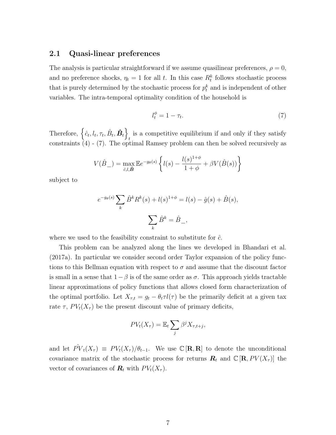#### 2.1 Quasi-linear preferences

The analysis is particular straightforward if we assume quasilinear preferences,  $\rho = 0$ , and no preference shocks,  $\eta_t = 1$  for all t. In this case  $R_t^k$  follows stochastic process that is purely determined by the stochastic process for  $p_t^k$  and is independent of other variables. The intra-temporal optimality condition of the household is

$$
l_t^{\phi} = 1 - \tau_t. \tag{7}
$$

Therefore,  $\left\{\hat{c}_t, l_t, \tau_t, \hat{B}_t, \hat{B}_t\right\}$ is a competitive equilibrium if and only if they satisfy  $t_{\text{max}} =$ constraints (4) - (7). The optimal Ramsey problem can then be solved recursively as

$$
V(\hat{B}_-) = \max_{\hat{c},l,\hat{\mathbf{B}}} \mathbb{E}e^{-g_{\theta}(s)} \left\{ l(s) - \frac{l(s)^{1+\phi}}{1+\phi} + \beta V(\hat{B}(s)) \right\}
$$

subject to

$$
e^{-g_{\theta}(s)} \sum_{k} \hat{B}^{k} R^{k}(s) + l(s)^{1+\phi} = l(s) - \hat{g}(s) + \hat{B}(s),
$$

$$
\sum_{k} \hat{B}^{k} = \hat{B}_{-},
$$

where we used to the feasibility constraint to substitute for  $\hat{c}$ .

This problem can be analyzed along the lines we developed in Bhandari et al. (2017a). In particular we consider second order Taylor expansion of the policy functions to this Bellman equation with respect to  $\sigma$  and assume that the discount factor is small in a sense that  $1-\beta$  is of the same order as  $\sigma$ . This approach yields tractable linear approximations of policy functions that allows closed form characterization of the optimal portfolio. Let  $X_{\tau,t} = g_t - \theta_t \tau l(\tau)$  be the primarily deficit at a given tax rate  $\tau$ ,  $PV_t(X_{\tau})$  be the present discount value of primary deficits,

$$
PV_t(X_{\tau}) = \mathbb{E}_t \sum_j \beta^j X_{\tau, t+j},
$$

and let  $\hat{PV}_t(X_\tau) \equiv PV_t(X_\tau)/\theta_{t-1}$ . We use  $\mathbb{C}[\mathbf{R},\mathbf{R}]$  to denote the unconditional covariance matrix of the stochastic process for returns  $\mathbf{R}_t$  and  $\mathbb{C}[\mathbf{R}, PV(X_\tau)]$  the vector of covariances of  $\mathbf{R}_t$  with  $PV_t(X_\tau)$ .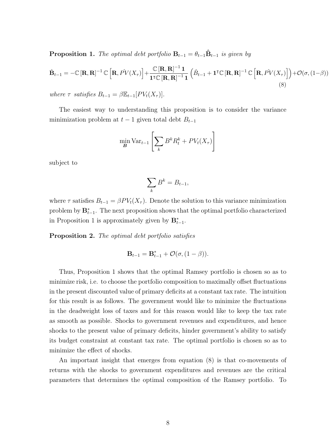**Proposition 1.** The optimal debt portfolio  $B_{t-1} = \theta_{t-1} \hat{B}_{t-1}$  is given by

$$
\hat{\mathbf{B}}_{t-1} = -\mathbb{C}\left[\mathbf{R},\mathbf{R}\right]^{-1}\mathbb{C}\left[\mathbf{R},P\hat{V}(X_{\tau})\right] + \frac{\mathbb{C}\left[\mathbf{R},\mathbf{R}\right]^{-1}\mathbf{1}}{\mathbf{1}^{\top}\mathbb{C}\left[\mathbf{R},\mathbf{R}\right]^{-1}\mathbf{1}}\left(\hat{B}_{t-1} + \mathbf{1}^{\top}\mathbb{C}\left[\mathbf{R},\mathbf{R}\right]^{-1}\mathbb{C}\left[\mathbf{R},P\hat{V}(X_{\tau})\right]\right) + \mathcal{O}(\sigma,(1-\beta))
$$
\n(8)

where  $\tau$  satisfies  $B_{t-1} = \beta \mathbb{E}_{t-1}[PV_t(X_{\tau})].$ 

The easiest way to understanding this proposition is to consider the variance minimization problem at  $t-1$  given total debt  $B_{t-1}$ 

$$
\min_{\mathbf{B}} \text{Var}_{t-1} \left[ \sum_{k} B^{k} R_{t}^{k} + PV_{t}(X_{\tau}) \right]
$$

subject to

$$
\sum_{k} B^{k} = B_{t-1},
$$

where  $\tau$  satisfies  $B_{t-1} = \beta PV_t(X_{\tau})$ . Denote the solution to this variance minimization problem by  $\mathbf{B}_{t-1}^*$ . The next proposition shows that the optimal portfolio characterized in Proposition 1 is approximately given by  $\mathbf{B}_{t-1}^*$ .

Proposition 2. The optimal debt portfolio satisfies

$$
\mathbf{B}_{t-1} = \mathbf{B}_{t-1}^* + \mathcal{O}(\sigma, (1-\beta)).
$$

Thus, Proposition 1 shows that the optimal Ramsey portfolio is chosen so as to minimize risk, i.e. to choose the portfolio composition to maximally offset fluctuations in the present discounted value of primary deficits at a constant tax rate. The intuition for this result is as follows. The government would like to minimize the fluctuations in the deadweight loss of taxes and for this reason would like to keep the tax rate as smooth as possible. Shocks to government revenues and expenditures, and hence shocks to the present value of primary deficits, hinder government's ability to satisfy its budget constraint at constant tax rate. The optimal portfolio is chosen so as to minimize the effect of shocks.

An important insight that emerges from equation (8) is that co-movements of returns with the shocks to government expenditures and revenues are the critical parameters that determines the optimal composition of the Ramsey portfolio. To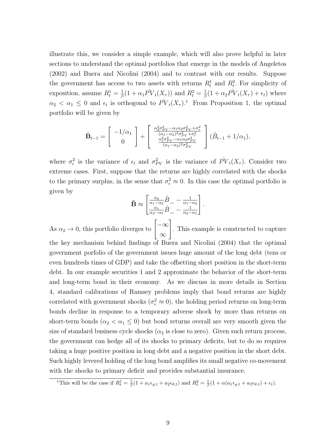illustrate this, we consider a simple example, which will also prove helpful in later sections to understand the optimal portfolios that emerge in the models of Angeletos (2002) and Buera and Nicolini (2004) and to contrast with our results. Suppose the government has access to two assets with returns  $R_t^1$  and  $R_t^2$ . For simplicity of exposition, assume  $R_t^1 = \frac{1}{\beta}$  $\frac{1}{\beta}(1+\alpha_1 P V_t(X_\tau))$  and  $R_t^2 = \frac{1}{\beta}$  $\frac{1}{\beta}(1+\alpha_2 P \hat{V}_t(X_\tau)+\epsilon_t)$  where  $\alpha_2 < \alpha_1 \leq 0$  and  $\epsilon_t$  is orthogonal to  $\hat{PV}_t(X_\tau)^{1}$ . From Proposition 1, the optimal portfolio will be given by

$$
\hat{\mathbf{B}}_{t-1} = \begin{bmatrix} -1/\alpha_1 \\ 0 \end{bmatrix} + \begin{bmatrix} \frac{\alpha_2^2 \sigma_{PV}^2 - \alpha_1 \alpha_2 \sigma_{PV}^2 + \sigma_{\epsilon}^2}{(\alpha_1 - \alpha_2)^2 \sigma_{PV}^2 + \sigma_{\epsilon}^2} \\ \frac{\alpha_1^2 \sigma_{PV}^2 - \alpha_1 \alpha_2 \sigma_{PV}^2}{(\alpha_1 - \alpha_2)^2 \sigma_{PV}^2} \end{bmatrix} (\hat{B}_{t-1} + 1/\alpha_1),
$$

where  $\sigma_{\epsilon}^2$  is the variance of  $\epsilon_t$  and  $\sigma_{PV}^2$  is the variance of  $\hat{PV}_t(X_\tau)$ . Consider two extreme cases. First, suppose that the returns are highly correlated with the shocks to the primary surplus, in the sense that  $\sigma_{\epsilon}^2 \approx 0$ . In this case the optimal portfolio is given by

$$
\hat{\mathbf{B}} \approx \begin{bmatrix} \frac{\alpha_2}{\alpha_1 - \alpha_2} \hat{B} - \frac{1}{\alpha_1 - \alpha_2} \\ \frac{\alpha_1}{\alpha_2 - \alpha_1} \hat{B} - \frac{1}{\alpha_2 - \alpha_1} \end{bmatrix}.
$$

As  $\alpha_2 \to 0$ , this portfolio diverges to  $\begin{bmatrix} -\infty \\ -\infty \end{bmatrix}$ ∞ 1 . This example is constructed to capture the key mechanism behind findings of Buera and Nicolini (2004) that the optimal government porfolio of the government issues huge amount of the long debt (tens or even hundreds times of GDP) and take the offsetting short position in the short-term debt. In our example securities 1 and 2 approximate the behavior of the short-term and long-term bond in their economy. As we discuss in more details in Section 4, standard calibrations of Ramsey problems imply that bond returns are highly correlated with government shocks ( $\sigma_{\epsilon}^2 \approx 0$ ), the holding period returns on long-term bonds decline in response to a temporary adverse shock by more than returns on short-term bonds ( $\alpha_2 < \alpha_1 \leq 0$ ) but bond returns overall are very smooth given the size of standard business cycle shocks  $(\alpha_2$  is close to zero). Given such return process, the government can hedge all of its shocks to primary deficits, but to do so requires taking a huge positive position in long debt and a negative position in the short debt. Such highly levered holding of the long bond amplifies its small negative co-movement with the shocks to primary deficit and provides substantial insurance.

<sup>&</sup>lt;sup>1</sup>This will be the case if  $R_t^1 = \frac{1}{\beta}(1 + a_1\epsilon_{g,t} + a_2\epsilon_{\theta,t})$  and  $R_t^2 = \frac{1}{\beta}(1 + \alpha(a_1\epsilon_{g,t} + a_2\epsilon_{\theta,t}) + \epsilon_t)$ .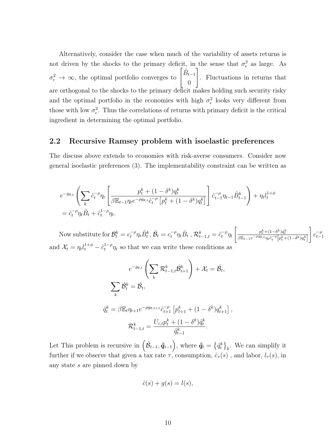Alternatively, consider the case when much of the variability of assets returns is not driven by the shocks to the primary deficit, in the sense that  $\sigma_{\epsilon}^2$  as large. As  $\sigma_{\epsilon}^2 \to \infty$ , the optimal portfolio converges to  $\begin{bmatrix} \hat{B}_{t-1} \\ 0 \end{bmatrix}$ 0 1 . Fluctuations in returns that are orthogonal to the shocks to the primary deficit makes holding such security risky and the optimal portfolio in the economies with high  $\sigma_{\epsilon}^2$  looks very different from those with low  $\sigma_{\epsilon}^2$ . Thus the correlations of returns with primary deficit is the critical ingredient in determining the optimal portfolio.

#### 2.2 Recursive Ramsey problem with isoelastic preferences

The discuss above extends to economies with risk-averse consumers. Consider now general isoelastic preferences (3). The implementability constraint can be written as

$$
e^{-g_{\theta,t}} \left( \sum_{k} \hat{c}_{t}^{-\rho} \eta_{t} \left[ \frac{p_{t}^{k} + (1 - \delta^{k}) q_{t}^{k}}{\beta \mathbb{E}_{t-1} \eta_{t} e^{-\rho g_{\theta,t}} \hat{c}_{t}^{-\rho} \left[ p_{t}^{k} + (1 - \delta^{k}) q_{t}^{k} \right]} \right] \hat{c}_{t-1}^{-\rho} \eta_{t-1} \hat{B}_{t-1}^{k} \right) + \eta_{t} l_{t}^{1+\phi}
$$
  
=  $\hat{c}_{t}^{-\rho} \eta_{t} \hat{B}_{t} + \hat{c}_{t}^{1-\rho} \eta_{t}.$ 

Now substitute for  $\mathcal{B}_t^k = c_t^{-\rho} \eta_t \hat{B}_t^k$ ,  $\hat{\mathcal{B}}_t = c_t^{-\rho} \eta_t \hat{B}_t$  ,  $\mathcal{R}_{t-1,t}^k = \hat{c}_t^{-\rho} \eta_t$  $\Bigg\lceil \frac{p_t^k + (1 - \delta^k)q_t^k}{\beta \mathbb{E}_{t-1} e^{-\rho g_{\theta,t}} \eta_t \hat{c}_t^{-\rho} \Big[ p_t^k + (1 - \delta^k)q_t^k \Big]}$ 1  $c_{t-}^{-\rho}$  $t-1$ and  $\mathcal{X}_t = \eta_t l_t^{1+\phi} - \hat{c}_t^{1-\rho} \eta_t$  so that we can write these conditions as

$$
e^{-g_{\theta,t}} \left( \sum_{k} \mathcal{R}_{t-1,t}^{k} \hat{\mathcal{B}}_{t+1}^{k} \right) + \mathcal{X}_{t} = \hat{\mathcal{B}}_{t},
$$
  

$$
\sum_{k} \hat{\mathcal{B}}_{t}^{k} = \hat{\mathcal{B}}_{t},
$$
  

$$
\tilde{q}_{t}^{k} = \beta \mathbb{E}_{t} \eta_{t+1} e^{-\rho g_{\theta,t+1}} \hat{c}_{t+1}^{-\rho} \left[ p_{t+1}^{k} + (1 - \delta^{k}) q_{t+1}^{k} \right],
$$
  

$$
\mathcal{R}_{t-1,t}^{k} = \frac{U_{c,t} p_{t}^{k} + (1 - \delta^{k}) \tilde{q}_{t}^{k}}{\tilde{q}_{t-1}^{k}}.
$$

Let This problem is recursive in  $(\hat{\mathcal{B}}_{t-1}, \tilde{\pmb{q}}_{t-1})$ , where  $\tilde{\pmb{q}}_t = \{\tilde{q}_t^k\}_k$ . We can simplify it further if we observe that given a tax rate  $\tau$ , consumption,  $\hat{c}_{\tau}(s)$ , and labor,  $l_{\tau}(s)$ , in any state s are pinned down by

$$
\hat{c}(s) + g(s) = l(s),
$$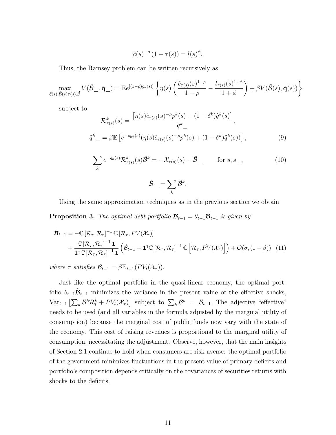$$
\hat{c}(s)^{-\rho} \left(1 - \tau(s)\right) = l(s)^{\phi}.
$$

Thus, the Ramsey problem can be written recursively as

max  $\tilde{q}(s),\hat{\mathcal{B}}(s)\tau(s),\hat{\mathcal{B}}$  $V(\hat{\mathcal{B}}_-, \tilde{\mathbf{q}}_-) = \mathbb{E} e^{[(1-\rho)g_\theta(s)]} \left\{ \eta(s) \right\}$  $\int \hat{c}_{\tau(s)}(s)^{1-\rho}$  $1-\rho$  $-\frac{l_{\tau(s)}(s)^{1+\phi}}{1+\phi}$  $1 + \phi$  $\Big\} + \beta V(\hat{\mathcal{B}}(s),\tilde{\mathbf{q}}(s))\Big\}$ 

subject to

$$
\mathcal{R}_{\tau(s)}^{k}(s) = \frac{\left[\eta(s)\hat{c}_{\tau(s)}(s)^{-\rho}p^{k}(s) + (1 - \delta^{k})\tilde{q}^{k}(s)\right]}{\tilde{q}^{k}} ,
$$
  

$$
\tilde{q}^{k} = \beta \mathbb{E}\left[e^{-\rho g_{\theta}(s)}(\eta(s)\hat{c}_{\tau(s)}(s)^{-\rho}p^{k}(s) + (1 - \delta^{k})\tilde{q}^{k}(s))\right],
$$
 (9)

$$
\sum_{k} e^{-g_{\theta}(s)} \mathcal{R}^{k}_{\tau(s)}(s) \hat{\mathcal{B}}^{k} = -\mathcal{X}_{\tau(s)}(s) + \hat{\mathcal{B}}_{-} \quad \text{for } s, s_{-},
$$
\n
$$
\hat{\mathcal{B}}_{-} = \sum_{k} \hat{\mathcal{B}}^{k}.
$$
\n(10)

$$
{\cal B}_-=\sum_k {\cal B}^k.
$$

Using the same approximation techniques as in the previous section we obtain

**Proposition 3.** The optimal debt portfolio  $\mathcal{B}_{t-1} = \theta_{t-1} \hat{\mathcal{B}}_{t-1}$  is given by

$$
\hat{\mathcal{B}}_{t-1} = -\mathbb{C}\left[\mathcal{R}_{\tau}, \mathcal{R}_{\tau}\right]^{-1} \mathbb{C}\left[\mathcal{R}_{\tau}, PV(\mathcal{X}_{\tau})\right] \n+ \frac{\mathbb{C}\left[\mathcal{R}_{\tau}, \mathcal{R}_{\tau}\right]^{-1} \mathbf{1}}{\mathbf{1}^{\tau} \mathbb{C}\left[\mathcal{R}_{\tau}, \mathcal{R}_{\tau}\right]^{-1} \mathbf{1}} \left(\hat{\mathcal{B}}_{t-1} + \mathbf{1}^{\tau} \mathbb{C}\left[\mathcal{R}_{\tau}, \mathcal{R}_{\tau}\right]^{-1} \mathbb{C}\left[\mathcal{R}_{\tau}, \hat{PV}(\mathcal{X}_{\tau})\right]\right) + \mathcal{O}(\sigma, (1-\beta)) \quad (11)
$$

where  $\tau$  satisfies  $\mathcal{B}_{t-1} = \beta \mathbb{E}_{t-1}(PV_t(\mathcal{X}_{\tau}))$ .

Just like the optimal portfolio in the quasi-linear economy, the optimal portfolio  $\theta_{t-1}\hat{\mathcal{B}}_{t-1}$  minimizes the variance in the present value of the effective shocks,  $\text{Var}_{t-1} \left[ \sum_{k} \mathcal{B}^{k} \mathcal{R}^{k}_{t} + PV_{t}(\mathcal{X}_{\tau}) \right]$  subject to  $\sum_{k} \mathcal{B}^{k} = \mathcal{B}_{t-1}$ . The adjective "effective" needs to be used (and all variables in the formula adjusted by the marginal utility of consumption) because the marginal cost of public funds now vary with the state of the economy. This cost of raising revenues is proportional to the marginal utility of consumption, necessitating the adjustment. Observe, however, that the main insights of Section 2.1 continue to hold when consumers are risk-averse: the optimal portfolio of the government minimizes fluctuations in the present value of primary deficits and portfolio's composition depends critically on the covariances of securities returns with shocks to the deficits.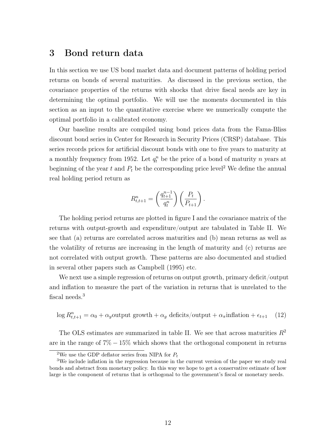# 3 Bond return data

In this section we use US bond market data and document patterns of holding period returns on bonds of several maturities. As discussed in the previous section, the covariance properties of the returns with shocks that drive fiscal needs are key in determining the optimal portfolio. We will use the moments documented in this section as an input to the quantitative exercise where we numerically compute the optimal portfolio in a calibrated economy.

Our baseline results are compiled using bond prices data from the Fama-Bliss discount bond series in Center for Research in Security Prices (CRSP) database. This series records prices for artificial discount bonds with one to five years to maturity at a monthly frequency from 1952. Let  $q_t^n$  be the price of a bond of maturity n years at beginning of the year  $t$  and  $P_t$  be the corresponding price level<sup>2</sup> We define the annual real holding period return as

$$
R_{t,t+1}^{n} = \left(\frac{q_{t+1}^{n-1}}{q_t^n}\right) \left(\frac{P_t}{P_{t+1}}\right).
$$

The holding period returns are plotted in figure I and the covariance matrix of the returns with output-growth and expenditure/output are tabulated in Table II. We see that (a) returns are correlated across maturities and (b) mean returns as well as the volatility of returns are increasing in the length of maturity and (c) returns are not correlated with output growth. These patterns are also documented and studied in several other papers such as Campbell (1995) etc.

We next use a simple regression of returns on output growth, primary deficit/output and inflation to measure the part of the variation in returns that is unrelated to the fiscal needs.<sup>3</sup>

$$
\log R_{t,t+1}^n = \alpha_0 + \alpha_y \text{output growth} + \alpha_y \text{ deficits} / \text{output} + \alpha_x \text{inflation} + \epsilon_{t+1} \quad (12)
$$

The OLS estimates are summarized in table II. We see that across maturities  $R^2$ are in the range of  $7\% - 15\%$  which shows that the orthogonal component in returns

<sup>&</sup>lt;sup>2</sup>We use the GDP deflator series from NIPA for  $P_t$ 

<sup>3</sup>We include inflation in the regression because in the current version of the paper we study real bonds and abstract from monetary policy. In this way we hope to get a conservative estimate of how large is the component of returns that is orthogonal to the government's fiscal or monetary needs.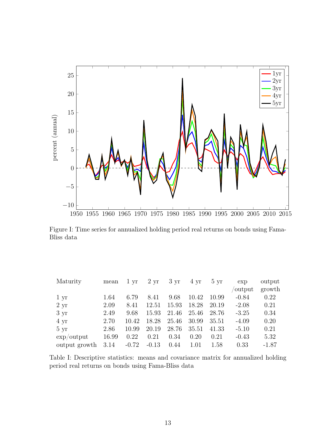

Figure I: Time series for annualized holding period real returns on bonds using Fama-Bliss data

| Maturity             | mean  | 1 yr    | $2 \mathrm{yr}$ | $3 \mathrm{yr}$ | 4 yr  | $5 \mathrm{yr}$ | exp     | output  |
|----------------------|-------|---------|-----------------|-----------------|-------|-----------------|---------|---------|
|                      |       |         |                 |                 |       |                 | output  | growth  |
| 1 yr                 | 1.64  | 6.79    | 8.41            | 9.68            | 10.42 | 10.99           | $-0.84$ | 0.22    |
| $2 \mathrm{yr}$      | 2.09  | 8.41    | 12.51           | 15.93           | 18.28 | 20.19           | $-2.08$ | 0.21    |
| $3 \mathrm{yr}$      | 2.49  | 9.68    | 15.93           | 21.46           | 25.46 | 28.76           | $-3.25$ | 0.34    |
| $4 \text{ yr}$       | 2.70  | 10.42   | 18.28           | 25.46           | 30.99 | 35.51           | $-4.09$ | 0.20    |
| $5 \mathrm{yr}$      | 2.86  | 10.99   | 20.19           | 28.76           | 35.51 | 41.33           | $-5.10$ | 0.21    |
| $\exp/\text{output}$ | 16.99 | 0.22    | 0.21            | 0.34            | 0.20  | 0.21            | $-0.43$ | 5.32    |
| output growth        | 3.14  | $-0.72$ | $-0.13$         | 0.44            | 1.01  | 1.58            | 0.33    | $-1.87$ |

Table I: Descriptive statistics: means and covariance matrix for annualized holding period real returns on bonds using Fama-Bliss data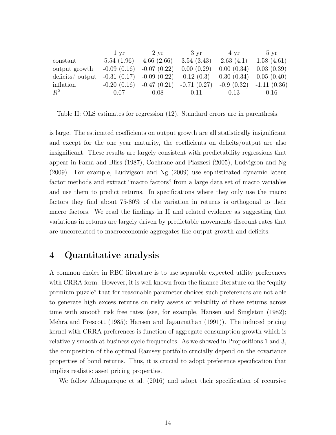|                 | 1 vr                        | 2 yr                                                                                | $3 \text{ yr}$                         | $4 \text{ yr}$           | $5 \text{ yr}$ |
|-----------------|-----------------------------|-------------------------------------------------------------------------------------|----------------------------------------|--------------------------|----------------|
| constant        | 5.54(1.96)                  | 4.66(2.66)                                                                          | 3.54(3.43)                             | $2.63(4.1)$ $1.58(4.61)$ |                |
| output growth   | $-0.09(0.16)$ $-0.07(0.22)$ |                                                                                     | $0.00(0.29)$ $0.00(0.34)$ $0.03(0.39)$ |                          |                |
| deficits/output |                             | $-0.31$ (0.17) $-0.09$ (0.22) 0.12 (0.3) 0.30 (0.34) 0.05 (0.40)                    |                                        |                          |                |
| inflation       |                             | $-0.20$ $(0.16)$ $-0.47$ $(0.21)$ $-0.71$ $(0.27)$ $-0.9$ $(0.32)$ $-1.11$ $(0.36)$ |                                        |                          |                |
| $R^2$           | 0.07                        | 0.08                                                                                | 0.11                                   | 0.13                     | 0.16           |

Table II: OLS estimates for regression (12). Standard errors are in parenthesis.

is large. The estimated coefficients on output growth are all statistically insignificant and except for the one year maturity, the coefficients on deficits/output are also insignificant. These results are largely consistent with predictability regressions that appear in Fama and Bliss (1987), Cochrane and Piazzesi (2005), Ludvigson and Ng (2009). For example, Ludvigson and Ng (2009) use sophisticated dynamic latent factor methods and extract "macro factors" from a large data set of macro variables and use them to predict returns. In specifications where they only use the macro factors they find about 75-80% of the variation in returns is orthogonal to their macro factors. We read the findings in II and related evidence as suggesting that variations in returns are largely driven by predictable movements discount rates that are uncorrelated to macroeconomic aggregates like output growth and deficits.

### 4 Quantitative analysis

A common choice in RBC literature is to use separable expected utility preferences with CRRA form. However, it is well known from the finance literature on the "equity premium puzzle" that for reasonable parameter choices such preferences are not able to generate high excess returns on risky assets or volatility of these returns across time with smooth risk free rates (see, for example, Hansen and Singleton (1982); Mehra and Prescott (1985); Hansen and Jagannathan (1991)). The induced pricing kernel with CRRA preferences is function of aggregate consumption growth which is relatively smooth at business cycle frequencies. As we showed in Propositions 1 and 3, the composition of the optimal Ramsey portfolio crucially depend on the covariance properties of bond returns. Thus, it is crucial to adopt preference specification that implies realistic asset pricing properties.

We follow Albuquerque et al. (2016) and adopt their specification of recursive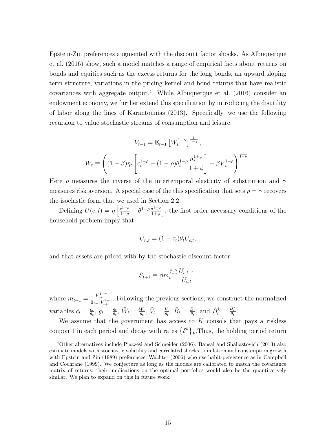Epstein-Zin preferences augmented with the discount factor shocks. As Albuquerque et al. (2016) show, such a model matches a range of empirical facts about returns on bonds and equities such as the excess returns for the long bonds, an upward sloping term structure, variations in the pricing kernel and bond returns that have realistic covariances with aggregate output.<sup>4</sup> While Albuquerque et al.  $(2016)$  consider an endowment economy, we further extend this specification by introducing the disutility of labor along the lines of Karantounias (2013). Specifically, we use the following recursion to value stochastic streams of consumption and leisure:

$$
V_{t-1} = \mathbb{E}_{t-1} \left[ W_t^{1-\gamma} \right]^{\frac{1}{1-\gamma}},
$$
  

$$
W_t \equiv \left( (1-\beta)\eta_t \left[ c_t^{1-\rho} - (1-\rho)\theta_t^{1-\rho} \frac{n_t^{1+\phi}}{1+\phi} \right] + \beta V_t^{1-\rho} \right)^{\frac{1}{1-\rho}}.
$$

Here  $\rho$  measures the inverse of the intertemporal elasticity of substitution and  $\gamma$ measures risk aversion. A special case of the this specification that sets  $\rho = \gamma$  recovers the isoelastic form that we used in Section 2.2.

Defining  $U(c, l) = \eta \left[ \frac{c^{1-\rho}}{1-\rho} - \theta^{1-\rho} \frac{n^{1+\phi}}{1+\phi} \right]$  $\left(\frac{n^{1+\phi}}{1+\phi}\right)$ , the first order necessary conditions of the household problem imply that

$$
U_{n,t} = (1 - \tau_t)\theta_t U_{c,t},
$$

and that assets are priced with by the stochastic discount factor

$$
S_{t+1} \equiv \beta m_t^{\frac{\rho-\gamma}{1-\gamma}} \frac{U_{c,t+1}}{U_{c,t}},
$$

where  $m_{t+1} = \frac{V_{t+1}^{1-\gamma}}{\mathbb{E}_{t-1}V_{t+1}^{1-\gamma}}$ . Following the previous sections, we construct the normalized variables  $\hat{c}_t = \frac{c_t}{\theta_t}$  $\frac{c_t}{\theta_t}, \, \hat{g}_t = \frac{g_t}{\theta_t}$  $\frac{g_t}{\theta_t},\,\hat{W}_t=\frac{W_t}{\theta_t}$  $\frac{W_t}{\theta_t},\ \hat{V}_t = \frac{V_t}{\theta_t}$  $\frac{V_t}{\theta_t}, \ \hat{B}_t = \frac{B_t}{\theta_t}$  $\frac{B_t}{\theta_t}$ , and  $\hat{B}_t^k = \frac{B_t^k}{\theta_t}$ .

We assume that the government has access to  $K$  consols that pays a riskless coupon 1 in each period and decay with rates  $\{\delta^k\}_k$ . Thus, the holding period return

<sup>4</sup>Other alternatives include Piazzesi and Schneider (2006), Bansal and Shaliastovich (2013) also estimate models with stochastic volatility and correlated shocks to inflation and consumption growth with Epstein and Zin (1989) preferences, Wachter (2006) who use habit-persistence as in Campbell and Cochrane (1999). We conjecture as long as the models are calibrated to match the covariance matrix of returns, their implications on the optimal portfolios would also be the quantitatively similar. We plan to expand on this in future work.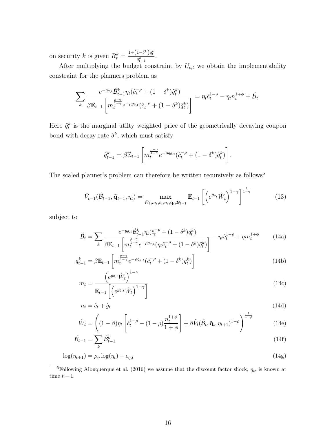on security k is given  $R_t^k = \frac{1 + (1 - \delta^k)q_t^k}{q_t^k}$ .  $\frac{q_{t-1}^k}{q_{t-1}^k}$ .

After multiplying the budget constraint by  $U_{c,t}$  we obtain the implementability constraint for the planners problem as

$$
\sum_{k} \frac{e^{-g_{\theta,t}} \hat{\mathcal{B}}_{t-1}^k \eta_t(\hat{c}_t^{-\rho} + (1 - \delta^k)\tilde{q}_t^k)}{\beta \mathbb{E}_{t-1} \left[ m_t^{\frac{\rho - \gamma}{1 - \gamma}} e^{-\rho g_{\theta,t}} (\hat{c}_t^{-\rho} + (1 - \delta^k)\tilde{q}_t^k) \right]} = \eta_t \hat{c}_t^{1-\rho} - \eta_t n_t^{1+\phi} + \hat{\mathcal{B}}_t.
$$

Here  $\tilde{q}_t^k$  is the marginal utilty weighted price of the geometrically decaying coupon bond with decay rate  $\delta^k$ , which must satisfy

$$
\tilde{q}_{t-1}^k = \beta \mathbb{E}_{t-1} \left[ m_t^{\frac{\rho - \gamma}{1 - \gamma}} e^{-\rho g_{\theta,t}} (\hat{c}_t^{-\rho} + (1 - \delta^k) \tilde{q}_t^k) \right].
$$

The scaled planner's problem can therefore be written recursively as follows<sup>5</sup>

$$
\hat{V}_{t-1}(\hat{\mathcal{B}}_{t-1}, \tilde{\mathbf{q}}_{t-1}, \eta_t) = \max_{\hat{W}_t, m_t, \hat{c}_t, n_t, \tilde{\mathbf{q}}_t, \tilde{\mathbf{B}}_{t-1}} \mathbb{E}_{t-1} \left[ \left( e^{g_{\theta_t}} \hat{W}_t \right)^{1-\gamma} \right]^{\frac{1}{1-\gamma}}
$$
(13)

subject to

$$
\hat{\mathcal{B}}_t = \sum_k \frac{e^{-g_{\theta,t}} \hat{\mathcal{B}}_{t-1}^k \eta_t (\hat{c}_t^{-\rho} + (1 - \delta^k) \tilde{q}_t^k)}{\beta \mathbb{E}_{t-1} \left[ m_t^{\frac{\rho - \gamma}{1 - \gamma}} e^{-\rho g_{\theta,t}} (\eta_t \hat{c}_t^{-\rho} + (1 - \delta^k) \tilde{q}_t^k) \right]} - \eta_t \hat{c}_t^{1 - \rho} + \eta_t n_t^{1 + \phi}
$$
(14a)

$$
\tilde{q}_{t-1}^k = \beta \mathbb{E}_{t-1} \left[ m_t^{\frac{\rho - \gamma}{1 - \gamma}} e^{-\rho g_{\theta, t}} (\hat{c}_t^{-\rho} + (1 - \delta^k) \tilde{q}_t^k) \right]
$$
(14b)

$$
m_t = \frac{\left(e^{g_{\theta,t}}\hat{W}_t\right)^{1-\gamma}}{\mathbb{E}_{t-1}\left[\left(e^{g_{\theta,t}}\hat{W}_t\right)^{1-\gamma}\right]}
$$
(14c)

$$
n_t = \hat{c}_t + \hat{g}_t \tag{14d}
$$

$$
\hat{W}_t = \left( (1 - \beta)\eta_t \left[ \hat{c}_t^{1-\rho} - (1 - \rho) \frac{n_t^{1+\phi}}{1+\phi} \right] + \beta \hat{V}_t (\hat{\mathcal{B}}_t, \tilde{\mathbf{q}}_t, \eta_{t+1})^{1-\rho} \right)^{\frac{1}{1-\rho}}
$$
(14e)

$$
\hat{\mathcal{B}}_{t-1} = \sum_{k} \hat{\mathcal{B}}_{t-1}^{k} \tag{14f}
$$

$$
\log(\eta_{t+1}) = \rho_{\eta} \log(\eta_t) + \epsilon_{\eta,t} \tag{14g}
$$

<sup>&</sup>lt;sup>5</sup>Following Albuquerque et al. (2016) we assume that the discount factor shock,  $\eta_t$ , is known at time  $t - 1$ .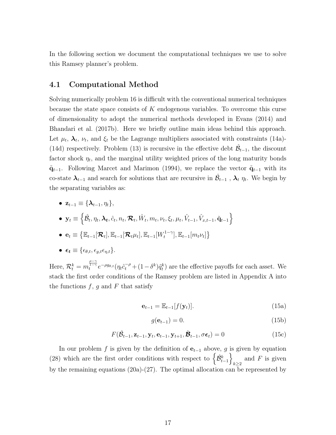In the following section we document the computational techniques we use to solve this Ramsey planner's problem.

#### 4.1 Computational Method

Solving numerically problem 16 is difficult with the conventional numerical techniques because the state space consists of  $K$  endogenous variables. To overcome this curse of dimensionality to adopt the numerical methods developed in Evans (2014) and Bhandari et al. (2017b). Here we briefly outline main ideas behind this approach. Let  $\mu_t$ ,  $\lambda_t$ ,  $\nu_t$ , and  $\xi_t$  be the Lagrange multipliers associated with constraints (14a)-(14d) respectively. Problem (13) is recursive in the effective debt  $\hat{\mathcal{B}}_{t-1}$ , the discount factor shock  $\eta_t$ , and the marginal utility weighted prices of the long maturity bonds  $\tilde{\mathbf{q}}_{t-1}$ . Following Marcet and Marimon (1994), we replace the vector  $\tilde{\mathbf{q}}_{t-1}$  with its co-state  $\lambda_{t-1}$  and search for solutions that are recursive in  $\hat{\mathcal{B}}_{t-1}$  ,  $\lambda_t$   $\eta_t$ . We begin by the separating variables as:

•  $\mathbf{z}_{t-1} \equiv \{\boldsymbol{\lambda}_{t-1}, \eta_t\},\$ 

• 
$$
\mathbf{y}_t \equiv \left\{ \hat{\mathcal{B}}_t, \eta_t, \mathbf{\lambda}_t, \hat{c}_t, n_t, \mathbf{\mathcal{R}}_t, \hat{W}_t, m_t, \nu_t, \xi_t, \mu_t, \hat{V}_{t-1}, \hat{V}_{x,t-1}, \tilde{\mathbf{q}}_{t-1} \right\}
$$

$$
\bullet \mathbf{e}_t \equiv \left\{ \mathbb{E}_{t-1}[\mathcal{R}_t], \mathbb{E}_{t-1}[\mathcal{R}_t \mu_t], \mathbb{E}_{t-1}[W_t^{1-\gamma}], \mathbb{E}_{t-1}[m_t \nu_t] \right\}
$$

•  $\epsilon_t \equiv \{\epsilon_{\theta,t}, \epsilon_{a,t} \epsilon_{n,t}\}.$ 

Here,  $\mathcal{R}_t^k = m_t^{\frac{\rho-\gamma}{1-\gamma}} e^{-\rho g_{\theta,t}} (\eta_t \hat{c}_t^{-\rho} + (1-\delta^k) \tilde{q}_t^k)$  are the effective payoffs for each asset. We stack the first order conditions of the Ramsey problem are listed in Appendix A into the functions  $f, g$  and  $F$  that satisfy

$$
\mathbf{e}_{t-1} = \mathbb{E}_{t-1}[f(\mathbf{y}_t)]. \tag{15a}
$$

$$
g(\mathbf{e}_{t-1}) = 0.\tag{15b}
$$

$$
F(\hat{\mathcal{B}}_{t-1}, \mathbf{z}_{t-1}, \mathbf{y}_t, \mathbf{e}_{t-1}, \mathbf{y}_{t+1}, \hat{\mathcal{B}}_{t-1}, \sigma \boldsymbol{\epsilon}_t) = 0
$$
\n(15c)

In our problem f is given by the definition of  $e_{t-1}$  above, g is given by equation (28) which are the first order conditions with respect to  $\left\{\hat{\mathcal{B}}_{t-1}^k\right\}$ and F is given<br> $k \geq 2$ by the remaining equations  $(20a)-(27)$ . The optimal allocation can be represented by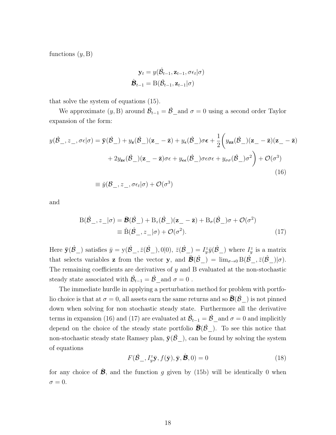functions  $(y, B)$ 

$$
\mathbf{y}_{t} = y(\hat{\mathcal{B}}_{t-1}, \mathbf{z}_{t-1}, \sigma \epsilon_{t} | \sigma)
$$

$$
\hat{\mathbf{B}}_{t-1} = \text{B}(\hat{\mathcal{B}}_{t-1}, \mathbf{z}_{t-1} | \sigma)
$$

that solve the system of equations (15).

We approximate  $(y, B)$  around  $\hat{\mathcal{B}}_{t-1} = \hat{\mathcal{B}}$  and  $\sigma = 0$  using a second order Taylor expansion of the form:

$$
y(\hat{\mathcal{B}}_{-}, z_{-}, \sigma\epsilon | \sigma) = \bar{\mathbf{y}}(\hat{\mathcal{B}}_{-}) + y_{\mathbf{z}}(\hat{\mathcal{B}}_{-})(\mathbf{z}_{-} - \bar{\mathbf{z}}) + y_{\epsilon}(\hat{\mathcal{B}}_{-})\sigma\epsilon + \frac{1}{2} \left( y_{\mathbf{z}\mathbf{z}}(\hat{\mathcal{B}}_{-})(\mathbf{z}_{-} - \bar{\mathbf{z}})(\mathbf{z}_{-} - \bar{\mathbf{z}}) + 2y_{\mathbf{z}\epsilon}(\hat{\mathcal{B}}_{-})(\mathbf{z}_{-} - \bar{\mathbf{z}})\sigma\epsilon + y_{\epsilon\epsilon}(\hat{\mathcal{B}}_{-})\sigma\epsilon\sigma\epsilon + y_{\sigma\sigma}(\hat{\mathcal{B}}_{-})\sigma^{2} \right) + \mathcal{O}(\sigma^{3})
$$
  
\n
$$
\equiv \check{y}(\mathcal{B}_{-}, z_{-}, \sigma\epsilon_{t} | \sigma) + \mathcal{O}(\sigma^{3})
$$
\n(16)

and

$$
B(\hat{\mathcal{B}}_{-}, z_{-}|\sigma) = \bar{\mathcal{B}}(\hat{\mathcal{B}}_{-}) + B_{z}(\hat{\mathcal{B}}_{-})(z_{-} - \bar{z}) + B_{\sigma}(\hat{\mathcal{B}}_{-})\sigma + \mathcal{O}(\sigma^{2})
$$
  

$$
\equiv \tilde{B}(\hat{\mathcal{B}}_{-}, z_{-}|\sigma) + \mathcal{O}(\sigma^{2}).
$$
 (17)

Here  $\bar{\mathbf{y}}(\hat{\mathcal{B}}_{-})$  satisfies  $\bar{y} = y(\hat{\mathcal{B}}_{-}, \bar{z}(\hat{\mathcal{B}}_{-}), 0 | 0), \ \bar{z}(\hat{\mathcal{B}}_{-}) = I_{\bar{y}}^{z} \bar{y}(\hat{\mathcal{B}}_{-})$  where  $I_{\bar{y}}^{z}$  is a matrix that selects variables **z** from the vector **y**, and  $\vec{\mathcal{B}}(\hat{\mathcal{B}}_{-}) = \lim_{\sigma \to 0} B(\hat{\mathcal{B}}_{-}, \bar{z}(\hat{\mathcal{B}}_{-})|\sigma)$ . The remaining coefficients are derivatives of y and B evaluated at the non-stochastic steady state associated with  $\hat{\mathcal{B}}_{t-1} = \hat{\mathcal{B}}_{-}$  and  $\sigma = 0$ .

The immediate hurdle in applying a perturbation method for problem with portfolio choice is that at  $\sigma = 0$ , all assets earn the same returns and so  $\mathcal{B}(B^-)$  is not pinned down when solving for non stochastic steady state. Furthermore all the derivative terms in expansion (16) and (17) are evaluated at  $\hat{\mathcal{B}}_{t-1} = \hat{\mathcal{B}}_{-}$  and  $\sigma = 0$  and implicitly depend on the choice of the steady state portfolio  $\vec{B}(\hat{\beta})$ . To see this notice that non-stochastic steady state Ramsey plan,  $\bar{y}(\hat{B}^-)$ , can be found by solving the system of equations

$$
F(\hat{\mathcal{B}}_{-}, I_{\hat{y}}^* \bar{\mathbf{y}}, f(\bar{\mathbf{y}}), \bar{\mathbf{y}}, \hat{\mathbf{B}}, 0) = 0
$$
\n(18)

for any choice of  $\hat{\mathcal{B}}$ , and the function g given by (15b) will be identically 0 when  $\sigma=0.$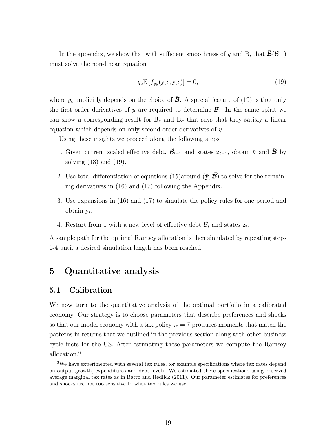In the appendix, we show that with sufficient smoothness of y and B, that  $\mathcal{B}(B^-)$ must solve the non-linear equation

$$
g_e \mathbb{E}\left[f_{yy}(\mathbf{y}_e \epsilon, \mathbf{y}_e \epsilon)\right] = 0,\tag{19}
$$

where  $y_{\epsilon}$  implicitly depends on the choice of  $\bar{\mathcal{B}}$ . A special feature of (19) is that only the first order derivatives of y are required to determine  $\vec{\mathcal{B}}$ . In the same spirit we can show a corresponding result for  $B_z$  and  $B_{\sigma}$  that says that they satisfy a linear equation which depends on only second order derivatives of y.

Using these insights we proceed along the following steps

- 1. Given current scaled effective debt,  $\hat{\mathcal{B}}_{t-1}$  and states  $\mathbf{z}_{t-1}$ , obtain  $\bar{y}$  and  $\bar{\mathcal{B}}$  by solving (18) and (19).
- 2. Use total differentiation of equations (15)around  $(\bar{y}, \bar{\mathcal{B}})$  to solve for the remaining derivatives in (16) and (17) following the Appendix.
- 3. Use expansions in (16) and (17) to simulate the policy rules for one period and obtain  $y_t$ .
- 4. Restart from 1 with a new level of effective debt  $\hat{\mathcal{B}}_t$  and states  $\mathbf{z}_t$ .

A sample path for the optimal Ramsey allocation is then simulated by repeating steps 1-4 until a desired simulation length has been reached.

## 5 Quantitative analysis

### 5.1 Calibration

We now turn to the quantitative analysis of the optimal portfolio in a calibrated economy. Our strategy is to choose parameters that describe preferences and shocks so that our model economy with a tax policy  $\tau_t = \overline{\tau}$  produces moments that match the patterns in returns that we outlined in the previous section along with other business cycle facts for the US. After estimating these parameters we compute the Ramsey allocation.<sup>6</sup>

 $6$ We have experimented with several tax rules, for example specifications where tax rates depend on output growth, expenditures and debt levels. We estimated these specifications using observed average marginal tax rates as in Barro and Redlick (2011). Our parameter estimates for preferences and shocks are not too sensitive to what tax rules we use.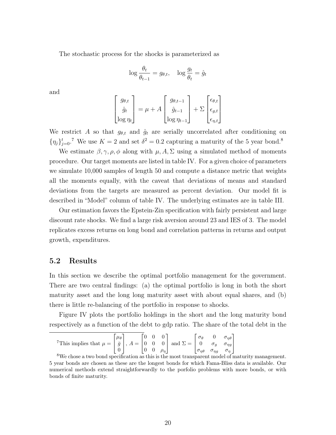The stochastic process for the shocks is parameterized as

$$
\log \frac{\theta_t}{\theta_{t-1}} = g_{\theta,t}, \quad \log \frac{g_t}{\theta_t} = \hat{g}_t
$$

and

$$
\begin{bmatrix} g_{\theta,t} \\ \hat{g}_t \\ \log \eta_t \end{bmatrix} = \mu + A \begin{bmatrix} g_{\theta,t-1} \\ \hat{g}_{t-1} \\ \log \eta_{t-1} \end{bmatrix} + \Sigma \begin{bmatrix} \epsilon_{\theta,t} \\ \epsilon_{g,t} \\ \epsilon_{\eta,t} \end{bmatrix}
$$

We restrict A so that  $g_{\theta,t}$  and  $\hat{g}_t$  are serially uncorrelated after conditioning on  $\{\eta_j\}_{j=0}^t$ .<sup>7</sup> We use  $K=2$  and set  $\delta^2=0.2$  capturing a maturity of the 5 year bond.<sup>8</sup>

We estimate  $\beta$ ,  $\gamma$ ,  $\rho$ ,  $\phi$  along with  $\mu$ ,  $A$ ,  $\Sigma$  using a simulated method of moments procedure. Our target moments are listed in table IV. For a given choice of parameters we simulate 10,000 samples of length 50 and compute a distance metric that weights all the moments equally, with the caveat that deviations of means and standard deviations from the targets are measured as percent deviation. Our model fit is described in "Model" column of table IV. The underlying estimates are in table III.

Our estimation favors the Epstein-Zin specification with fairly persistent and large discount rate shocks. We find a large risk aversion around 23 and IES of 3. The model replicates excess returns on long bond and correlation patterns in returns and output growth, expenditures.

### 5.2 Results

In this section we describe the optimal portfolio management for the government. There are two central findings: (a) the optimal portfolio is long in both the short maturity asset and the long long maturity asset with about equal shares, and (b) there is little re-balancing of the portfolio in response to shocks.

Figure IV plots the portfolio holdings in the short and the long maturity bond respectively as a function of the debt to gdp ratio. The share of the total debt in the

<sup>7</sup>This implies that 
$$
\mu = \begin{bmatrix} \mu_{\theta} \\ \bar{g} \\ 0 \end{bmatrix}
$$
,  $A = \begin{bmatrix} 0 & 0 & 0 \\ 0 & 0 & 0 \\ 0 & 0 & \rho_{\eta} \end{bmatrix}$  and  $\Sigma = \begin{bmatrix} \sigma_{\theta} & 0 & \sigma_{\eta\theta} \\ 0 & \sigma_g & \sigma_{\eta g} \\ \sigma_{\eta\theta} & \sigma_{\eta g} & \sigma_{\eta} \end{bmatrix}$   
<sup>8</sup>W<sub>2</sub> shows two long regions

We chose a two bond specification as this is the most transparent model of maturity management. 5 year bonds are chosen as these are the longest bonds for which Fama-Bliss data is available. Our numerical methods extend straightforwardly to the porfolio problems with more bonds, or with bonds of finite maturity.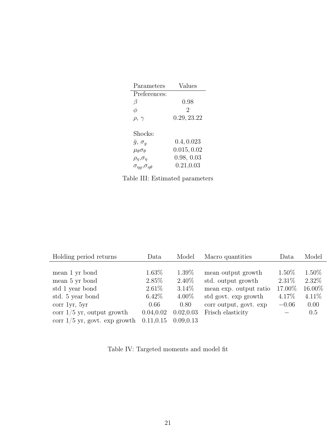| Parameters                      | Values      |
|---------------------------------|-------------|
| Preferences:                    |             |
| β                               | 0.98        |
| φ                               | 2           |
| $\rho, \gamma$                  | 0.29, 23.22 |
|                                 |             |
| Shocks:                         |             |
| $\bar{g}, \sigma_q$             | 0.4, 0.023  |
| $\mu_\theta \sigma_\theta$      | 0.015, 0.02 |
| $\rho_\eta, \sigma_\eta$        | 0.98, 0.03  |
| $\sigma_{nq}, \sigma_{n\theta}$ | 0.21, 0.03  |

|  |  | Table III: Estimated parameters |
|--|--|---------------------------------|
|--|--|---------------------------------|

| Holding period returns                                                                   | Data                                                 | Model                                                | Macro quantities                                                                                                     | Data                                               | Model                                            |
|------------------------------------------------------------------------------------------|------------------------------------------------------|------------------------------------------------------|----------------------------------------------------------------------------------------------------------------------|----------------------------------------------------|--------------------------------------------------|
| mean 1 yr bond<br>mean 5 yr bond<br>std 1 year bond<br>std. 5 year bond<br>corr 1yr, 5yr | $1.63\%$<br>$2.85\%$<br>$2.61\%$<br>$6.42\%$<br>0.66 | $1.39\%$<br>$2.40\%$<br>$3.14\%$<br>$4.00\%$<br>0.80 | mean output growth<br>std. output growth<br>mean exp. output ratio<br>std govt. exp growth<br>corr output, govt. exp | $1.50\%$<br>$2.31\%$<br>17.00%<br>4.17%<br>$-0.06$ | $1.50\%$<br>2.32\%<br>16.00%<br>$4.11\%$<br>0.00 |
| corr $1/5$ yr, output growth<br>corr $1/5$ yr, govt. exp growth                          | 0.04, 0.02<br>0.11, 0.15                             | 0.02, 0.03<br>0.09.0.13                              | Frisch elasticity                                                                                                    |                                                    | 0.5                                              |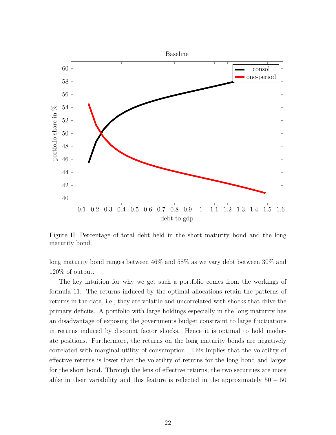

Figure II: Percentage of total debt held in the short maturity bond and the long maturity bond.

long maturity bond ranges between 46% and 58% as we vary debt between 30% and 120% of output.

The key intuition for why we get such a portfolio comes from the workings of formula 11. The returns induced by the optimal allocations retain the patterns of returns in the data, i.e., they are volatile and uncorrelated with shocks that drive the primary deficits. A portfolio with large holdings especially in the long maturity has an disadvantage of exposing the governments budget constraint to large fluctuations in returns induced by discount factor shocks. Hence it is optimal to hold moderate positions. Furthermore, the returns on the long maturity bonds are negatively correlated with marginal utility of consumption. This implies that the volatility of effective returns is lower than the volatility of returns for the long bond and larger for the short bond. Through the lens of effective returns, the two securities are more alike in their variability and this feature is reflected in the approximately  $50 - 50$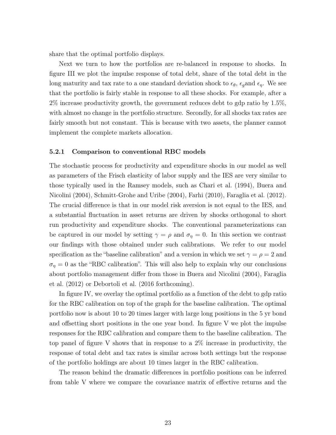share that the optimal portfolio displays.

Next we turn to how the portfolios are re-balanced in response to shocks. In figure III we plot the impulse response of total debt, share of the total debt in the long maturity and tax rate to a one standard deviation shock to  $\epsilon_{\theta}$ ,  $\epsilon_{g}$  and  $\epsilon_{\eta}$ . We see that the portfolio is fairly stable in response to all these shocks. For example, after a 2% increase productivity growth, the government reduces debt to gdp ratio by 1.5%, with almost no change in the portfolio structure. Secondly, for all shocks tax rates are fairly smooth but not constant. This is because with two assets, the planner cannot implement the complete markets allocation.

#### 5.2.1 Comparison to conventional RBC models

The stochastic process for productivity and expenditure shocks in our model as well as parameters of the Frisch elasticity of labor supply and the IES are very similar to those typically used in the Ramsey models, such as Chari et al. (1994), Buera and Nicolini (2004), Schmitt-Grohe and Uribe (2004), Farhi (2010), Faraglia et al. (2012). The crucial difference is that in our model risk aversion is not equal to the IES, and a substantial fluctuation in asset returns are driven by shocks orthogonal to short run productivity and expenditure shocks. The conventional parameterizations can be captured in our model by setting  $\gamma = \rho$  and  $\sigma_{\eta} = 0$ . In this section we contrast our findings with those obtained under such calibrations. We refer to our model specification as the "baseline calibration" and a version in which we set  $\gamma = \rho = 2$  and  $\sigma_{\eta} = 0$  as the "RBC calibration". This will also help to explain why our conclusions about portfolio management differ from those in Buera and Nicolini (2004), Faraglia et al. (2012) or Debortoli et al. (2016 forthcoming).

In figure IV, we overlay the optimal portfolio as a function of the debt to gdp ratio for the RBC calibration on top of the graph for the baseline calibration. The optimal portfolio now is about 10 to 20 times larger with large long positions in the 5 yr bond and offsetting short positions in the one year bond. In figure V we plot the impulse responses for the RBC calibration and compare them to the baseline calibration. The top panel of figure V shows that in response to a 2% increase in productivity, the response of total debt and tax rates is similar across both settings but the response of the portfolio holdings are about 10 times larger in the RBC calibration.

The reason behind the dramatic differences in portfolio positions can be inferred from table V where we compare the covariance matrix of effective returns and the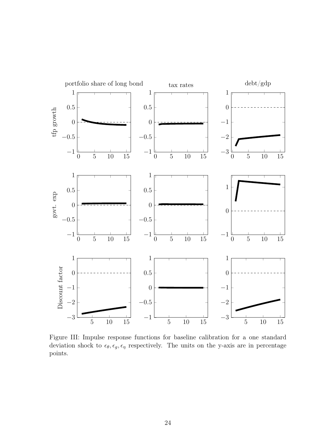

Figure III: Impulse response functions for baseline calibration for a one standard deviation shock to  $\epsilon_{\theta}, \epsilon_{g}, \epsilon_{\eta}$  respectively. The units on the y-axis are in percentage points.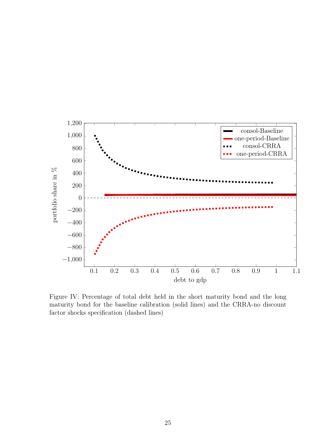

Figure IV: Percentage of total debt held in the short maturity bond and the long maturity bond for the baseline calibration (solid lines) and the CRRA-no discount factor shocks specification (dashed lines)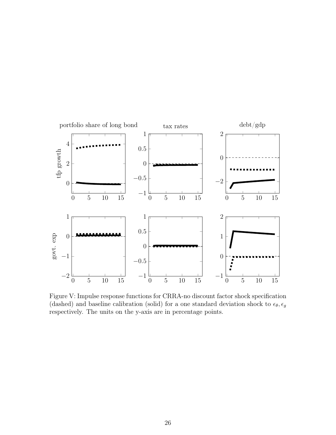

Figure V: Impulse response functions for CRRA-no discount factor shock specification (dashed) and baseline calibration (solid) for a one standard deviation shock to  $\epsilon_{\theta}$ ,  $\epsilon_{g}$ respectively. The units on the y-axis are in percentage points.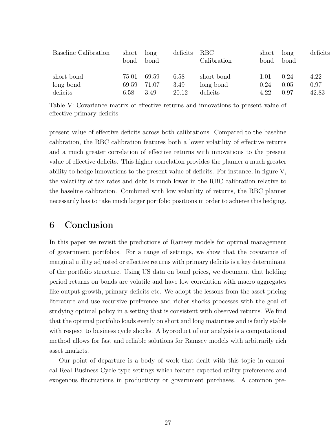| Baseline Calibration | short<br>bond | long<br>bond | deficits | RBC<br>Calibration | short<br>bond | long<br>bond | deficits |
|----------------------|---------------|--------------|----------|--------------------|---------------|--------------|----------|
| short bond           | 75.01         | 69.59        | 6.58     | short bond         | 1.01          | 0.24         | 4.22     |
| long bond            | 69.59         | 71.07        | 3.49     | long bond          | 0.24          | 0.05         | 0.97     |
| deficits             | 6.58          | 3.49         | 20.12    | deficits           | 4.22          | 0.97         | 42.83    |

Table V: Covariance matrix of effective returns and innovations to present value of effective primary deficits

present value of effective deficits across both calibrations. Compared to the baseline calibration, the RBC calibration features both a lower volatility of effective returns and a much greater correlation of effective returns with innovations to the present value of effective deficits. This higher correlation provides the planner a much greater ability to hedge innovations to the present value of deficits. For instance, in figure V, the volatility of tax rates and debt is much lower in the RBC calibration relative to the baseline calibration. Combined with low volatility of returns, the RBC planner necessarily has to take much larger portfolio positions in order to achieve this hedging.

## 6 Conclusion

In this paper we revisit the predictions of Ramsey models for optimal management of government portfolios. For a range of settings, we show that the covaraince of marginal utility adjusted or effective returns with primary deficits is a key determinant of the portfolio structure. Using US data on bond prices, we document that holding period returns on bonds are volatile and have low correlation with macro aggregates like output growth, primary deficits etc. We adopt the lessons from the asset pricing literature and use recursive preference and richer shocks processes with the goal of studying optimal policy in a setting that is consistent with observed returns. We find that the optimal portfolio loads evenly on short and long maturities and is fairly stable with respect to business cycle shocks. A byproduct of our analysis is a computational method allows for fast and reliable solutions for Ramsey models with arbitrarily rich asset markets.

Our point of departure is a body of work that dealt with this topic in canonical Real Business Cycle type settings which feature expected utility preferences and exogenous fluctuations in productivity or government purchases. A common pre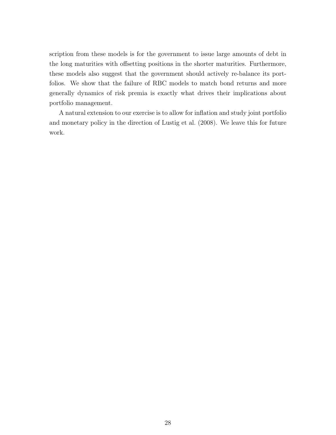scription from these models is for the government to issue large amounts of debt in the long maturities with offsetting positions in the shorter maturities. Furthermore, these models also suggest that the government should actively re-balance its portfolios. We show that the failure of RBC models to match bond returns and more generally dynamics of risk premia is exactly what drives their implications about portfolio management.

A natural extension to our exercise is to allow for inflation and study joint portfolio and monetary policy in the direction of Lustig et al. (2008). We leave this for future work.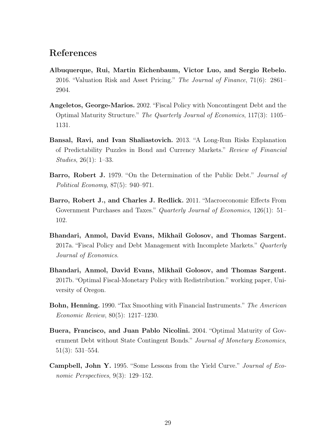# References

- Albuquerque, Rui, Martin Eichenbaum, Victor Luo, and Sergio Rebelo. 2016. "Valuation Risk and Asset Pricing." The Journal of Finance, 71(6): 2861– 2904.
- Angeletos, George-Marios. 2002. "Fiscal Policy with Noncontingent Debt and the Optimal Maturity Structure." The Quarterly Journal of Economics, 117(3): 1105– 1131.
- Bansal, Ravi, and Ivan Shaliastovich. 2013. "A Long-Run Risks Explanation of Predictability Puzzles in Bond and Currency Markets." Review of Financial Studies, 26(1): 1–33.
- **Barro, Robert J.** 1979. "On the Determination of the Public Debt." *Journal of* Political Economy, 87(5): 940–971.
- Barro, Robert J., and Charles J. Redlick. 2011. "Macroeconomic Effects From Government Purchases and Taxes." *Quarterly Journal of Economics*, 126(1): 51– 102.
- Bhandari, Anmol, David Evans, Mikhail Golosov, and Thomas Sargent. 2017a. "Fiscal Policy and Debt Management with Incomplete Markets." *Quarterly* Journal of Economics.
- Bhandari, Anmol, David Evans, Mikhail Golosov, and Thomas Sargent. 2017b. "Optimal Fiscal-Monetary Policy with Redistribution." working paper, University of Oregon.
- **Bohn, Henning.** 1990. "Tax Smoothing with Financial Instruments." The American Economic Review, 80(5): 1217–1230.
- Buera, Francisco, and Juan Pablo Nicolini. 2004. "Optimal Maturity of Government Debt without State Contingent Bonds." Journal of Monetary Economics, 51(3): 531–554.
- Campbell, John Y. 1995. "Some Lessons from the Yield Curve." Journal of Economic Perspectives, 9(3): 129–152.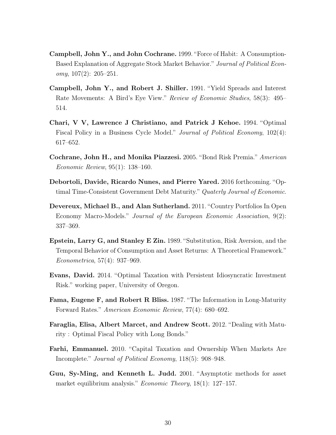- Campbell, John Y., and John Cochrane. 1999. "Force of Habit: A Consumption-Based Explanation of Aggregate Stock Market Behavior." Journal of Political Econ $omy, 107(2): 205-251.$
- Campbell, John Y., and Robert J. Shiller. 1991. "Yield Spreads and Interest Rate Movements: A Bird's Eye View." Review of Economic Studies, 58(3): 495– 514.
- Chari, V V, Lawrence J Christiano, and Patrick J Kehoe. 1994. "Optimal Fiscal Policy in a Business Cycle Model." Journal of Political Economy, 102(4): 617–652.
- Cochrane, John H., and Monika Piazzesi. 2005. "Bond Risk Premia." American Economic Review, 95(1): 138–160.
- Debortoli, Davide, Ricardo Nunes, and Pierre Yared. 2016 forthcoming. "Optimal Time-Consistent Government Debt Maturity." Quaterly Journal of Economic.
- Devereux, Michael B., and Alan Sutherland. 2011. "Country Portfolios In Open Economy Macro-Models." Journal of the European Economic Association, 9(2): 337–369.
- Epstein, Larry G, and Stanley E Zin. 1989. "Substitution, Risk Aversion, and the Temporal Behavior of Consumption and Asset Returns: A Theoretical Framework." Econometrica, 57(4): 937–969.
- Evans, David. 2014. "Optimal Taxation with Persistent Idiosyncratic Investment Risk." working paper, University of Oregon.
- Fama, Eugene F, and Robert R Bliss. 1987. "The Information in Long-Maturity Forward Rates." American Economic Review, 77(4): 680–692.
- Faraglia, Elisa, Albert Marcet, and Andrew Scott. 2012. "Dealing with Maturity : Optimal Fiscal Policy with Long Bonds."
- Farhi, Emmanuel. 2010. "Capital Taxation and Ownership When Markets Are Incomplete." Journal of Political Economy, 118(5): 908–948.
- Guu, Sy-Ming, and Kenneth L. Judd. 2001. "Asymptotic methods for asset market equilibrium analysis." Economic Theory, 18(1): 127–157.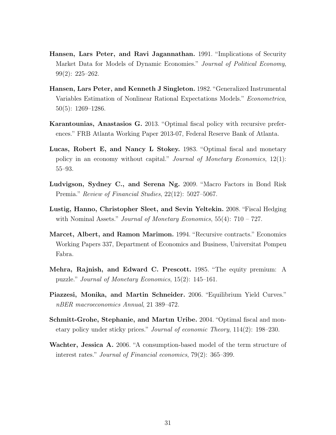- Hansen, Lars Peter, and Ravi Jagannathan. 1991. "Implications of Security Market Data for Models of Dynamic Economies." Journal of Political Economy, 99(2): 225–262.
- Hansen, Lars Peter, and Kenneth J Singleton. 1982. "Generalized Instrumental Variables Estimation of Nonlinear Rational Expectations Models." Econometrica, 50(5): 1269–1286.
- Karantounias, Anastasios G. 2013. "Optimal fiscal policy with recursive preferences." FRB Atlanta Working Paper 2013-07, Federal Reserve Bank of Atlanta.
- Lucas, Robert E, and Nancy L Stokey. 1983. "Optimal fiscal and monetary policy in an economy without capital." Journal of Monetary Economics, 12(1): 55–93.
- Ludvigson, Sydney C., and Serena Ng. 2009. "Macro Factors in Bond Risk Premia." Review of Financial Studies, 22(12): 5027–5067.
- Lustig, Hanno, Christopher Sleet, and Sevin Yeltekin. 2008. "Fiscal Hedging with Nominal Assets." Journal of Monetary Economics,  $55(4)$ :  $710 - 727$ .
- Marcet, Albert, and Ramon Marimon. 1994. "Recursive contracts." Economics Working Papers 337, Department of Economics and Business, Universitat Pompeu Fabra.
- Mehra, Rajnish, and Edward C. Prescott. 1985. "The equity premium: A puzzle." Journal of Monetary Economics, 15(2): 145–161.
- Piazzesi, Monika, and Martin Schneider. 2006. "Equilibrium Yield Curves." nBER macroeconomics Annual, 21 389–472.
- Schmitt-Grohe, Stephanie, and Martın Uribe. 2004. "Optimal fiscal and monetary policy under sticky prices." Journal of economic Theory, 114(2): 198–230.
- Wachter, Jessica A. 2006. "A consumption-based model of the term structure of interest rates." Journal of Financial economics, 79(2): 365–399.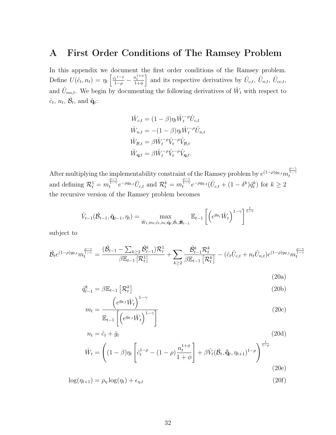# A First Order Conditions of The Ramsey Problem

In this appendix we document the first order conditions of the Ramsey problem. Define  $U(\hat{c}_t, n_t) = \eta_t \left[ \frac{\hat{c}_t^{1-\rho}}{1-\rho} - \frac{n_t^{1+\phi}}{1+\phi} \right]$  and its respective derivatives by  $\hat{U}_{c,t}$ ,  $\hat{U}_{n,t}$ ,  $\hat{U}_{cc,t}$ , and  $\hat{U}_{nn,t}$ . We begin by documenting the following derivatives of  $\hat{W}_t$  with respect to  $\hat{c}_t$ ,  $n_t$ ,  $\hat{\mathcal{B}}_t$ , and  $\tilde{\mathbf{q}}_t$ :

$$
\begin{split} \hat{W}_{c,t} &= (1-\beta)\eta_t \hat{W}_t^{-\rho} \hat{U}_{c,t} \\ \hat{W}_{n,t} &= -(1-\beta)\eta_t \hat{W}_t^{-\rho} \hat{U}_{n,t} \\ \hat{W}_{\mathcal{B},t} &= \beta \hat{W}_t^{-\rho} \hat{V}_t^{-\rho} \hat{V}_{\mathcal{B},t} \\ \hat{W}_{\mathbf{q},t} &= \beta \hat{W}_t^{-\rho} \hat{V}_t^{-\rho} \hat{V}_{\mathbf{q},t}. \end{split}
$$

After multiplying the implementability constraint of the Ramsey problem by  $e^{(1-\rho)g_{\theta,t}}m_t^{\frac{\rho-\gamma}{1-\gamma}}$ and defining  $\mathcal{R}_t^1 = m_t^{\frac{\rho-\gamma}{1-\gamma}} e^{-\rho g_{\theta,t}} \hat{U}_{c,t}$  and  $\mathcal{R}_t^k = m_t^{\frac{\rho-\gamma}{1-\gamma}} e^{-\rho g_{\theta,t}} (\hat{U}_{c,t} + (1-\delta^k)\tilde{q}_t^k)$  for  $k \ge 2$ the recursive version of the Ramsey problem becomes

$$
\hat{V}_{t-1}(\hat{\mathcal{B}}_{t-1}, \tilde{\mathbf{q}}_{t-1}, \eta_t) = \max_{\hat{W}_t, m_t, \hat{c}_t, n_t, \tilde{\mathbf{q}}_t, \hat{\mathcal{B}}_t, \mathbf{\hat{B}}_{t-1}} \mathbb{E}_{t-1} \left[ \left( e^{g_{\theta_t}} \hat{W}_t \right)^{1-\gamma} \right]^{\frac{1}{1-\gamma}}
$$

subject to

$$
\hat{\mathcal{B}}_{t}e^{(1-\rho)g_{\theta,t}}m_{t}^{\frac{\rho-\gamma}{1-\gamma}} = \frac{(\hat{\mathcal{B}}_{t-1} - \sum_{k\geq 2}\hat{\mathcal{B}}_{t-1}^{k})\mathcal{R}_{t}^{1}}{\beta \mathbb{E}_{t-1}[\mathcal{R}_{t}^{1}]} + \sum_{k\geq 2}\frac{\hat{\mathcal{B}}_{t-1}^{k}\mathcal{R}_{t}^{k}}{\beta \mathbb{E}_{t-1}[\mathcal{R}_{t}^{k}]} - (\hat{c}_{t}\hat{U}_{c,t} + n_{t}\hat{U}_{n,t})e^{(1-\rho)g_{\theta,t}}m_{t}^{\frac{\rho-\gamma}{1-\gamma}}
$$

$$
(20a)
$$

$$
\tilde{q}_{t-1}^k = \beta \mathbb{E}_{t-1} \left[ \mathcal{R}_t^k \right] \tag{20b}
$$

$$
m_t = \frac{\left(e^{g_{\theta,t}}\hat{W}_t\right)^{1-\gamma}}{\mathbb{E}_{t-1}\left[\left(e^{g_{\theta,t}}\hat{W}_t\right)^{1-\gamma}\right]}
$$
(20c)

$$
n_{t} = \hat{c}_{t} + \hat{g}_{t}
$$
\n
$$
\hat{W}_{t} = \left( (1 - \beta)\eta_{t} \left[ \hat{c}_{t}^{1-\rho} - (1 - \rho) \frac{n_{t}^{1+\phi}}{1+\phi} \right] + \beta \hat{V}_{t}(\hat{\mathcal{B}}_{t}, \tilde{\mathbf{q}}_{t}, \eta_{t+1})^{1-\rho} \right)^{\frac{1}{1-\rho}}
$$
\n(20d)\n  
\n(20e)

 $\log(\eta_{t+1}) = \rho_n \log(\eta_t) + \epsilon_{n,t}$  (20f)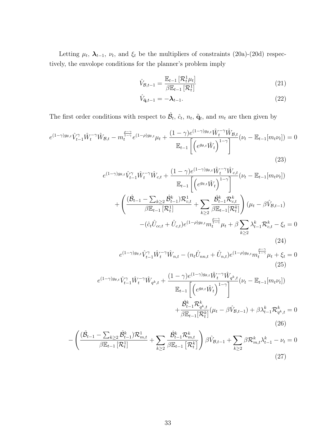Letting  $\mu_t$ ,  $\lambda_{t-1}$ ,  $\nu_t$ , and  $\xi_t$  be the multipliers of constraints (20a)-(20d) respectively, the envolope conditions for the planner's problem imply

$$
\hat{V}_{\mathcal{B},t-1} = \frac{\mathbb{E}_{t-1} \left[ \mathcal{R}_t^1 \mu_t \right]}{\beta \mathbb{E}_{t-1} \left[ \mathcal{R}_t^1 \right]}
$$
\n(21)

$$
\hat{V}_{\tilde{\mathbf{q}},t-1} = -\boldsymbol{\lambda}_{t-1}.\tag{22}
$$

The first order conditions with respect to  $\hat{\mathcal{B}}_t$ ,  $\hat{c}_t$ ,  $n_t$ ,  $\tilde{\mathbf{q}}_t$ , and  $m_t$  are then given by

$$
e^{(1-\gamma)g_{\theta,t}}\hat{V}_{t-1}^{\gamma}\hat{W}_{t}^{-\gamma}\hat{W}_{\mathcal{B},t} - m_{t}^{\frac{\rho-\gamma}{1-\gamma}}e^{(1-\rho)g_{\theta,t}}\mu_{t} + \frac{(1-\gamma)e^{(1-\gamma)g_{\theta,t}}\hat{W}_{t}^{-\gamma}\hat{W}_{\mathcal{B},t}}{\mathbb{E}_{t-1}\left[\left(e^{g_{\theta,t}}\hat{W}_{t}\right)^{1-\gamma}\right]}(\nu_{t} - \mathbb{E}_{t-1}[m_{t}\nu_{t}]) = 0
$$
\n(23)

$$
e^{(1-\gamma)g_{\theta,t}}\hat{V}_{t-1}^{\gamma}\hat{W}_{t}^{-\gamma}\hat{W}_{c,t} + \frac{(1-\gamma)e^{(1-\gamma)g_{\theta,t}}\hat{W}_{t}^{-\gamma}\hat{W}_{c,t}}{\mathbb{E}_{t-1}\left[\left(e^{g_{\theta,t}}\hat{W}_{t}\right)^{1-\gamma}\right]} + \left(\frac{(\hat{\mathcal{B}}_{t-1} - \sum_{k\geq 2}\hat{\mathcal{B}}_{t-1}^{k})\mathcal{R}_{c,t}^{1}}{\beta\mathbb{E}_{t-1}\left[\mathcal{R}_{t}^{1}\right]} + \sum_{k\geq 2}\frac{\hat{\mathcal{B}}_{t-1}^{k}\mathcal{R}_{c,t}^{k}}{\beta\mathbb{E}_{t-1}\left[\mathcal{R}_{t}^{k}\right]}\right)\left(\mu_{t} - \beta\hat{V}_{\mathcal{B},t-1}\right) - (\hat{c}_{t}\hat{U}_{c,t} + \hat{U}_{c,t})e^{(1-\rho)g_{\theta,t}}m_{t}^{\frac{\rho-\gamma}{1-\gamma}}\mu_{t} + \beta\sum_{k\geq 2}\lambda_{t-1}^{k}\mathcal{R}_{c,t}^{k} - \xi_{t} = 0
$$
\n(24)

$$
e^{(1-\gamma)g_{\theta,t}}\hat{V}_{t-1}^{\gamma}\hat{W}_t^{-\gamma}\hat{W}_{n,t} - (n_t\hat{U}_{nn,t} + \hat{U}_{n,t})e^{(1-\rho)g_{\theta,t}}m_t^{\frac{\rho-\gamma}{1-\gamma}}\mu_t + \xi_t = 0
$$
\n(25)

$$
e^{(1-\gamma)g_{\theta,t}}\hat{V}_{t-1}^{\gamma}\hat{W}_t^{-\gamma}\hat{W}_{q^k,t} + \frac{(1-\gamma)e^{(1-\gamma)g_{\theta,t}}\hat{W}_t^{-\gamma}\hat{W}_{q^k,t}}{\mathbb{E}_{t-1}\left[\left(e^{g_{\theta,t}}\hat{W}_t\right)^{1-\gamma}\right]} + \frac{\hat{\mathcal{B}}_{t-1}^k \mathbb{E}_{t-1}[\mathcal{R}_q^k]}{\beta \mathbb{E}_{t-1}[\mathcal{R}_t^k]}(\mu_t - \beta \hat{V}_{\mathcal{B},t-1}) + \beta \lambda_{t-1}^k \mathbb{E}_{q^k,t} = 0
$$
\n(26)

$$
-\left(\frac{(\hat{\mathcal{B}}_{t-1} - \sum_{k\geq 2} \hat{\mathcal{B}}_{t-1}^k) \mathcal{R}_{m,t}^1}{\beta \mathbb{E}_{t-1}[\mathcal{R}_t^1]} + \sum_{k\geq 2} \frac{\hat{\mathcal{B}}_{t-1}^k \mathcal{R}_{m,t}^k}{\beta \mathbb{E}_{t-1}[\mathcal{R}_t^k]}\right) \beta \hat{V}_{\mathcal{B},t-1} + \sum_{k\geq 2} \beta \mathcal{R}_{m,t}^k \lambda_{t-1}^k - \nu_t = 0
$$
\n(27)